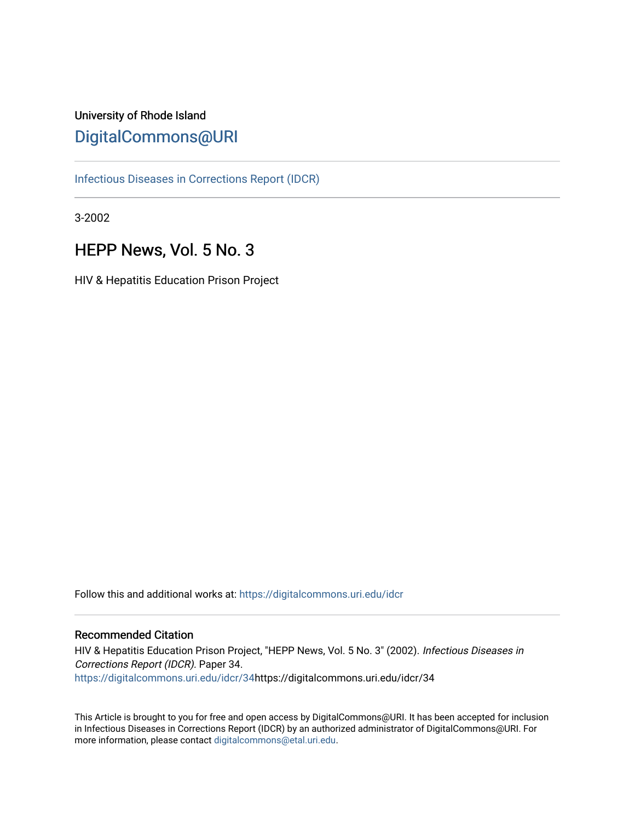# University of Rhode Island [DigitalCommons@URI](https://digitalcommons.uri.edu/)

[Infectious Diseases in Corrections Report \(IDCR\)](https://digitalcommons.uri.edu/idcr)

3-2002

# HEPP News, Vol. 5 No. 3

HIV & Hepatitis Education Prison Project

Follow this and additional works at: [https://digitalcommons.uri.edu/idcr](https://digitalcommons.uri.edu/idcr?utm_source=digitalcommons.uri.edu%2Fidcr%2F34&utm_medium=PDF&utm_campaign=PDFCoverPages)

## Recommended Citation

HIV & Hepatitis Education Prison Project, "HEPP News, Vol. 5 No. 3" (2002). Infectious Diseases in Corrections Report (IDCR). Paper 34. [https://digitalcommons.uri.edu/idcr/34h](https://digitalcommons.uri.edu/idcr/34?utm_source=digitalcommons.uri.edu%2Fidcr%2F34&utm_medium=PDF&utm_campaign=PDFCoverPages)ttps://digitalcommons.uri.edu/idcr/34

This Article is brought to you for free and open access by DigitalCommons@URI. It has been accepted for inclusion in Infectious Diseases in Corrections Report (IDCR) by an authorized administrator of DigitalCommons@URI. For more information, please contact [digitalcommons@etal.uri.edu.](mailto:digitalcommons@etal.uri.edu)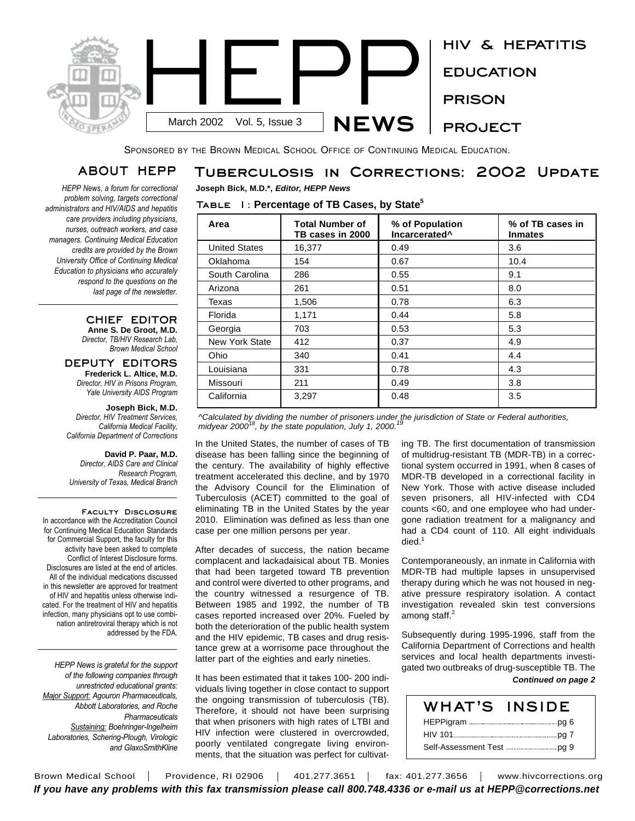

SPONSORED BY THE BROWN MEDICAL SCHOOL OFFICE OF CONTINUING MEDICAL EDUCATION.

**Table 1: Percentage of TB Cases, by State 5**

**Joseph Bick, M.D.\*,** *Editor, HEPP News*

# **ABOUT HEPP**

*HEPP News, a forum for correctional problem solving, targets correctional administrators and HIV/AIDS and hepatitis care providers including physicians, nurses, outreach workers, and case managers. Continuing Medical Education credits are provided by the Brown University Office of Continuing Medical Education to physicians who accurately respond to the questions on the last page of the newsletter.* 

### **CHIEF EDITOR Anne S. De Groot, M.D.** *Director, TB/HIV Research Lab,*

*Brown Medical School*

**DEPUTY EDITORS Frederick L. Altice, M.D.** *Director, HIV in Prisons Program, Yale University AIDS Program*

## **Joseph Bick, M.D.**

*Director, HIV Treatment Services, California Medical Facility, California Department of Corrections*

**David P. Paar, M.D.** *Director, AIDS Care and Clinical Research Program, University of Texas, Medical Branch*

**Faculty Disclosure** In accordance with the Accreditation Council for Continuing Medical Education Standards for Commercial Support, the faculty for this activity have been asked to complete Conflict of Interest Disclosure forms. Disclosures are listed at the end of articles. All of the individual medications discussed in this newsletter are approved for treatment of HIV and hepatitis unless otherwise indicated. For the treatment of HIV and hepatitis infection, many physicians opt to use combination antiretroviral therapy which is not addressed by the FDA.

*HEPP News is grateful for the support of the following companies through unrestricted educational grants: Major Support: Agouron Pharmaceuticals, Abbott Laboratories, and Roche Pharmaceuticals Sustaining: Boehringer-Ingelheim Laboratories, Schering-Plough, Virologic and GlaxoSmithKline*

| Area                  | <b>Total Number of</b><br>TB cases in 2000 | % of Population<br>Incarcerated <sup>^</sup> | % of TB cases in<br><b>Inmates</b> |
|-----------------------|--------------------------------------------|----------------------------------------------|------------------------------------|
| <b>United States</b>  | 16,377                                     | 0.49                                         | 3.6                                |
| Oklahoma              | 154                                        | 0.67                                         | 10.4                               |
| South Carolina        | 286                                        | 0.55                                         | 9.1                                |
| Arizona               | 261                                        | 0.51                                         | 8.0                                |
| Texas                 | 1,506                                      | 0.78                                         | 6.3                                |
| Florida               | 1,171                                      | 0.44                                         | 5.8                                |
| Georgia               | 703                                        | 0.53                                         | 5.3                                |
| <b>New York State</b> | 412                                        | 0.37                                         | 4.9                                |
| Ohio                  | 340                                        | 0.41                                         | 4.4                                |
| Louisiana             | 331                                        | 0.78                                         | 4.3                                |
| Missouri              | 211                                        | 0.49                                         | 3.8                                |
| California            | 3,297                                      | 0.48                                         | 3.5                                |

**Tuberculosis in Corrections: 2002 Update**

*^Calculated by dividing the number of prisoners under the jurisdiction of State or Federal authorities, 19 midyear 2000 18 , by the state population, July 1, 2000.*

In the United States, the number of cases of TB disease has been falling since the beginning of the century. The availability of highly effective treatment accelerated this decline, and by 1970 the Advisory Council for the Elimination of Tuberculosis (ACET) committed to the goal of eliminating TB in the United States by the year 2010. Elimination was defined as less than one case per one million persons per year.

After decades of success, the nation became complacent and lackadaisical about TB. Monies that had been targeted toward TB prevention and control were diverted to other programs, and the country witnessed a resurgence of TB. Between 1985 and 1992, the number of TB cases reported increased over 20%. Fueled by both the deterioration of the public health system and the HIV epidemic, TB cases and drug resistance grew at a worrisome pace throughout the latter part of the eighties and early nineties.

It has been estimated that it takes 100- 200 individuals living together in close contact to support the ongoing transmission of tuberculosis (TB). Therefore, it should not have been surprising that when prisoners with high rates of LTBI and HIV infection were clustered in overcrowded, poorly ventilated congregate living environments, that the situation was perfect for cultivat-

ing TB. The first documentation of transmission of multidrug-resistant TB (MDR-TB) in a correctional system occurred in 1991, when 8 cases of MDR-TB developed in a correctional facility in New York. Those with active disease included seven prisoners, all HIV-infected with CD4 counts <60, and one employee who had undergone radiation treatment for a malignancy and had a CD4 count of 110. All eight individuals died. 1

Contemporaneously, an inmate in California with MDR-TB had multiple lapses in unsupervised therapy during which he was not housed in negative pressure respiratory isolation. A contact investigation revealed skin test conversions among staff. 2

Subsequently during 1995-1996, staff from the California Department of Corrections and health services and local health departments investigated two outbreaks of drug-susceptible TB. The

### *Continued on page 2*

| <b>WHAT'S INSIDE</b>                                   |  |
|--------------------------------------------------------|--|
|                                                        |  |
|                                                        |  |
| Self-Assessment Test ---------------------------- pg 9 |  |

Brown Medical School | Providence, RI 02906 | 401.277.3651 | fax: 401.277.3656 | www.hivcorrections.org *If you have any problems with this fax transmission please call 800.748.4336 or e-mail us at HEPP@corrections.net*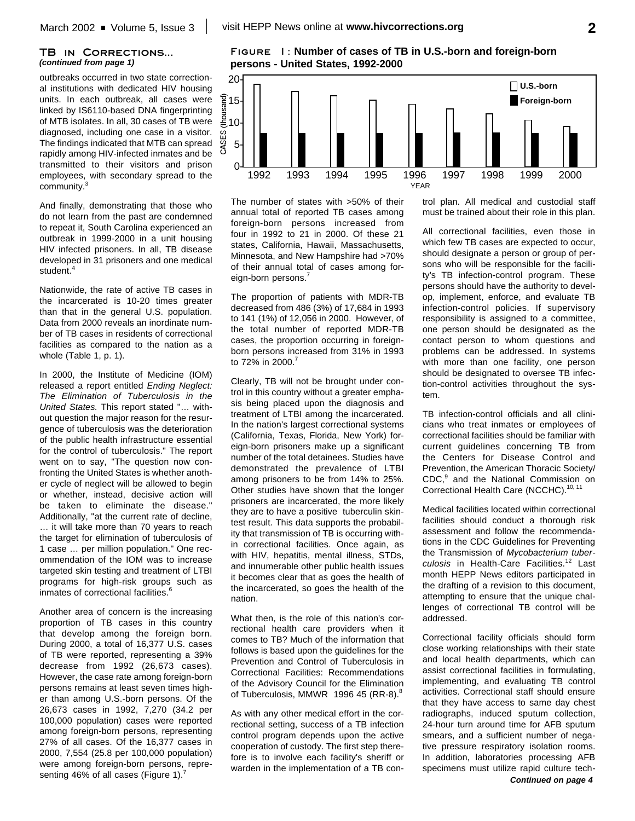### **TB in Corrections...** *(continued from page 1)*

outbreaks occurred in two state correctional institutions with dedicated HIV housing units. In each outbreak, all cases were linked by IS6110-based DNA fingerprinting of MTB isolates. In all, 30 cases of TB were diagnosed, including one case in a visitor. The findings indicated that MTB can spread rapidly among HIV-infected inmates and be transmitted to their visitors and prison employees, with secondary spread to the community.<sup>3</sup>

And finally, demonstrating that those who do not learn from the past are condemned to repeat it, South Carolina experienced an outbreak in 1999-2000 in a unit housing HIV infected prisoners. In all, TB disease developed in 31 prisoners and one medical student. 4

Nationwide, the rate of active TB cases in the incarcerated is 10-20 times greater than that in the general U.S. population. Data from 2000 reveals an inordinate number of TB cases in residents of correctional facilities as compared to the nation as a whole (Table 1, p. 1).

In 2000, the Institute of Medicine (IOM) released a report entitled *Ending Neglect: The Elimination of Tuberculosis in the United States.* This report stated "… without question the major reason for the resurgence of tuberculosis was the deterioration of the public health infrastructure essential for the control of tuberculosis." The report went on to say, "The question now confronting the United States is whether another cycle of neglect will be allowed to begin or whether, instead, decisive action will be taken to eliminate the disease." Additionally, "at the current rate of decline, … it will take more than 70 years to reach the target for elimination of tuberculosis of 1 case … per million population." One recommendation of the IOM was to increase targeted skin testing and treatment of LTBI programs for high-risk groups such as inmates of correctional facilities. 6

Another area of concern is the increasing proportion of TB cases in this country that develop among the foreign born. During 2000, a total of 16,377 U.S. cases of TB were reported, representing a 39% decrease from 1992 (26,673 cases). However, the case rate among foreign-born persons remains at least seven times higher than among U.S.-born persons. Of the 26,673 cases in 1992, 7,270 (34.2 per 100,000 population) cases were reported among foreign-born persons, representing 27% of all cases. Of the 16,377 cases in 2000, 7,554 (25.8 per 100,000 population) were among foreign-born persons, representing 46% of all cases (Figure 1).<sup>7</sup>

**Figure 1: Number of cases of TB in U.S.-born and foreign-born persons - United States, 1992-2000**



The number of states with >50% of their annual total of reported TB cases among foreign-born persons increased from four in 1992 to 21 in 2000. Of these 21 states, California, Hawaii, Massachusetts, Minnesota, and New Hampshire had >70% of their annual total of cases among foreign-born persons.<sup>7</sup>

The proportion of patients with MDR-TB decreased from 486 (3%) of 17,684 in 1993 to 141 (1%) of 12,056 in 2000. However, of the total number of reported MDR-TB cases, the proportion occurring in foreignborn persons increased from 31% in 1993 to 72% in 2000. 7

Clearly, TB will not be brought under control in this country without a greater emphasis being placed upon the diagnosis and treatment of LTBI among the incarcerated. In the nation's largest correctional systems (California, Texas, Florida, New York) foreign-born prisoners make up a significant number of the total detainees. Studies have demonstrated the prevalence of LTBI among prisoners to be from 14% to 25%. Other studies have shown that the longer prisoners are incarcerated, the more likely they are to have a positive tuberculin skintest result. This data supports the probability that transmission of TB is occurring within correctional facilities. Once again, as with HIV, hepatitis, mental illness, STDs, and innumerable other public health issues it becomes clear that as goes the health of the incarcerated, so goes the health of the nation.

What then, is the role of this nation's correctional health care providers when it comes to TB? Much of the information that follows is based upon the guidelines for the Prevention and Control of Tuberculosis in Correctional Facilities: Recommendations of the Advisory Council for the Elimination of Tuberculosis, MMWR 1996 45 (RR-8).<sup>8</sup>

As with any other medical effort in the correctional setting, success of a TB infection control program depends upon the active cooperation of custody. The first step therefore is to involve each facility's sheriff or warden in the implementation of a TB control plan. All medical and custodial staff must be trained about their role in this plan.

All correctional facilities, even those in which few TB cases are expected to occur, should designate a person or group of persons who will be responsible for the facility's TB infection-control program. These persons should have the authority to develop, implement, enforce, and evaluate TB infection-control policies. If supervisory responsibility is assigned to a committee, one person should be designated as the contact person to whom questions and problems can be addressed. In systems with more than one facility, one person should be designated to oversee TB infection-control activities throughout the system.

TB infection-control officials and all clinicians who treat inmates or employees of correctional facilities should be familiar with current guidelines concerning TB from the Centers for Disease Control and Prevention, the American Thoracic Society/ CDC,<sup>9</sup> and the National Commission on Correctional Health Care (NCCHC).<sup>10, 11</sup>

Medical facilities located within correctional facilities should conduct a thorough risk assessment and follow the recommendations in the CDC Guidelines for Preventing the Transmission of *Mycobacterium tuberculosis* in Health-Care Facilities. 12 Last month HEPP News editors participated in the drafting of a revision to this document, attempting to ensure that the unique challenges of correctional TB control will be addressed.

Correctional facility officials should form close working relationships with their state and local health departments, which can assist correctional facilities in formulating, implementing, and evaluating TB control activities. Correctional staff should ensure that they have access to same day chest radiographs, induced sputum collection, 24-hour turn around time for AFB sputum smears, and a sufficient number of negative pressure respiratory isolation rooms. In addition, laboratories processing AFB specimens must utilize rapid culture tech-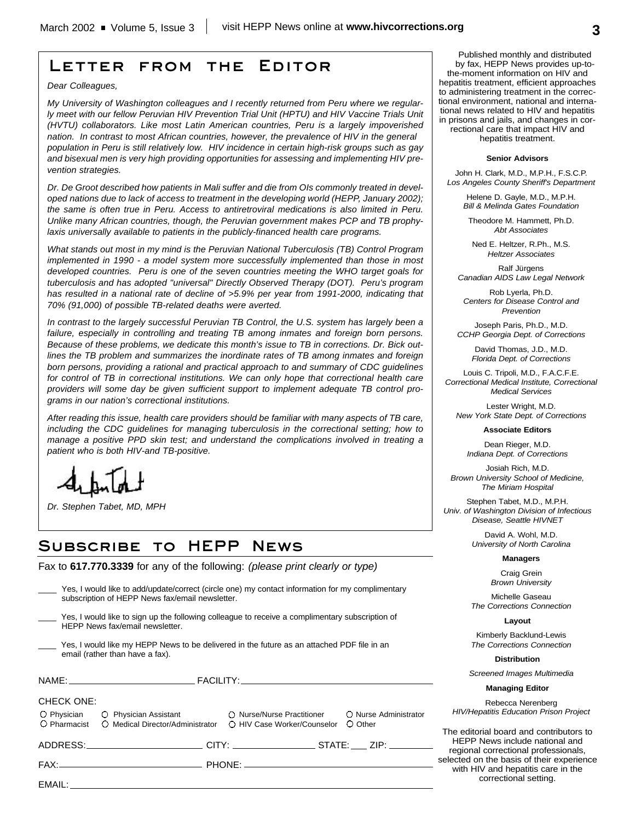# **Letter from the Editor**

*Dear Colleagues,*

*My University of Washington colleagues and I recently returned from Peru where we regularly meet with our fellow Peruvian HIV Prevention Trial Unit (HPTU) and HIV Vaccine Trials Unit (HVTU) collaborators. Like most Latin American countries, Peru is a largely impoverished nation. In contrast to most African countries, however, the prevalence of HIV in the general population in Peru is still relatively low. HIV incidence in certain high-risk groups such as gay and bisexual men is very high providing opportunities for assessing and implementing HIV prevention strategies.*

*Dr. De Groot described how patients in Mali suffer and die from OIs commonly treated in developed nations due to lack of access to treatment in the developing world (HEPP, January 2002); the same is often true in Peru. Access to antiretroviral medications is also limited in Peru. Unlike many African countries, though, the Peruvian government makes PCP and TB prophylaxis universally available to patients in the publicly-financed health care programs.*

*What stands out most in my mind is the Peruvian National Tuberculosis (TB) Control Program implemented in 1990 - a model system more successfully implemented than those in most developed countries. Peru is one of the seven countries meeting the WHO target goals for tuberculosis and has adopted "universal" Directly Observed Therapy (DOT). Peru's program has resulted in a national rate of decline of >5.9% per year from 1991-2000, indicating that 70% (91,000) of possible TB-related deaths were averted.*

*In contrast to the largely successful Peruvian TB Control, the U.S. system has largely been a failure, especially in controlling and treating TB among inmates and foreign born persons. Because of these problems, we dedicate this month's issue to TB in corrections. Dr. Bick outlines the TB problem and summarizes the inordinate rates of TB among inmates and foreign born persons, providing a rational and practical approach to and summary of CDC guidelines for control of TB in correctional institutions. We can only hope that correctional health care providers will some day be given sufficient support to implement adequate TB control programs in our nation's correctional institutions.*

*After reading this issue, health care providers should be familiar with many aspects of TB care, including the CDC guidelines for managing tuberculosis in the correctional setting; how to manage a positive PPD skin test; and understand the complications involved in treating a patient who is both HIV-and TB-positive.*

# **Subscribe to HEPP News**

Fax to **617.770.3339** for any of the following: *(please print clearly or type)*

| Yes, I would like to add/update/correct (circle one) my contact information for my complimentary<br>subscription of HEPP News fax/email newsletter. |                                                                                                                                                                                                                                |                                                                                                                                                                         |   |
|-----------------------------------------------------------------------------------------------------------------------------------------------------|--------------------------------------------------------------------------------------------------------------------------------------------------------------------------------------------------------------------------------|-------------------------------------------------------------------------------------------------------------------------------------------------------------------------|---|
|                                                                                                                                                     | HEPP News fax/email newsletter.                                                                                                                                                                                                | Yes, I would like to sign up the following colleague to receive a complimentary subscription of                                                                         |   |
|                                                                                                                                                     | email (rather than have a fax).                                                                                                                                                                                                | Yes, I would like my HEPP News to be delivered in the future as an attached PDF file in an                                                                              |   |
|                                                                                                                                                     |                                                                                                                                                                                                                                |                                                                                                                                                                         |   |
| <b>CHECK ONE:</b>                                                                                                                                   |                                                                                                                                                                                                                                | O Physician O Physician Assistant C Nurse/Nurse Practitioner O Nurse Administrator<br>O Pharmacist O Medical Director/Administrator O HIV Case Worker/Counselor O Other |   |
|                                                                                                                                                     |                                                                                                                                                                                                                                | ____________________________________CITY: ______________________STATE: _____ ZIP: _________________                                                                     |   |
|                                                                                                                                                     |                                                                                                                                                                                                                                |                                                                                                                                                                         | s |
|                                                                                                                                                     | EMAIL: The contract of the contract of the contract of the contract of the contract of the contract of the contract of the contract of the contract of the contract of the contract of the contract of the contract of the con |                                                                                                                                                                         |   |

Published monthly and distributed by fax, HEPP News provides up-tothe-moment information on HIV and hepatitis treatment, efficient approaches to administering treatment in the correctional environment, national and international news related to HIV and hepatitis in prisons and jails, and changes in correctional care that impact HIV and hepatitis treatment.

#### **Senior Advisors**

John H. Clark, M.D., M.P.H., F.S.C.P. *Los Angeles County Sheriff's Department*

> Helene D. Gayle, M.D., M.P.H. *Bill & Melinda Gates Foundation*

Theodore M. Hammett, Ph.D. *Abt Associates*

Ned E. Heltzer, R.Ph., M.S. *Heltzer Associates*

Ralf Jürgens *Canadian AIDS Law Legal Network*

Rob Lyerla, Ph.D. *Centers for Disease Control and Prevention*

Joseph Paris, Ph.D., M.D. *CCHP Georgia Dept. of Corrections*

> David Thomas, J.D., M.D. *Florida Dept. of Corrections*

Louis C. Tripoli, M.D., F.A.C.F.E. *Correctional Medical Institute, Correctional Medical Services*

Lester Wright, M.D. *New York State Dept. of Corrections*

**Associate Editors**

Dean Rieger, M.D. *Indiana Dept. of Corrections*

Josiah Rich, M.D. *Brown University School of Medicine, The Miriam Hospital*

Stephen Tabet, M.D., M.P.H. *Univ. of Washington Division of Infectious*

*Disease, Seattle HIVNET*

David A. Wohl, M.D. *University of North Carolina*

### **Managers**

Craig Grein *Brown University*

Michelle Gaseau *The Corrections Connection*

**Layout**

Kimberly Backlund-Lewis *The Corrections Connection*

**Distribution**

*Screened Images Multimedia*

**Managing Editor**

Rebecca Nerenberg *HIV/Hepatitis Education Prison Project*

The editorial board and contributors to HEPP News include national and regional correctional professionals, elected on the basis of their experience with HIV and hepatitis care in the correctional setting.

*Dr. Stephen Tabet, MD, MPH*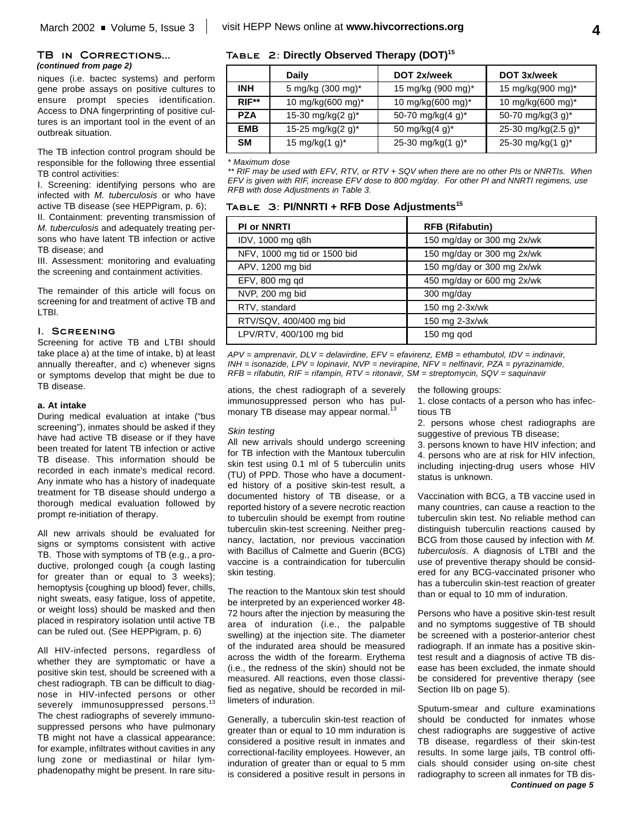### **TB in Corrections...** *(continued from page 2)*

niques (i.e. bactec systems) and perform gene probe assays on positive cultures to ensure prompt species identification. Access to DNA fingerprinting of positive cultures is an important tool in the event of an outbreak situation.

The TB infection control program should be responsible for the following three essential TB control activities:

I. Screening: identifying persons who are infected with *M. tuberculosis* or who have active TB disease (see HEPPigram, p. 6);

II. Containment: preventing transmission of *M. tuberculosis* and adequately treating persons who have latent TB infection or active TB disease; and

III. Assessment: monitoring and evaluating the screening and containment activities.

The remainder of this article will focus on screening for and treatment of active TB and LTBI.

### **I. Screening**

Screening for active TB and LTBI should take place a) at the time of intake, b) at least annually thereafter, and c) whenever signs or symptoms develop that might be due to TB disease.

### **a. At intake**

During medical evaluation at intake ("bus screening"), inmates should be asked if they have had active TB disease or if they have been treated for latent TB infection or active TB disease. This information should be recorded in each inmate's medical record. Any inmate who has a history of inadequate treatment for TB disease should undergo a thorough medical evaluation followed by prompt re-initiation of therapy.

All new arrivals should be evaluated for signs or symptoms consistent with active TB. Those with symptoms of TB (e.g., a productive, prolonged cough {a cough lasting for greater than or equal to 3 weeks}; hemoptysis {coughing up blood} fever, chills, night sweats, easy fatigue, loss of appetite, or weight loss) should be masked and then placed in respiratory isolation until active TB can be ruled out. (See HEPPigram, p. 6)

All HIV-infected persons, regardless of whether they are symptomatic or have a positive skin test, should be screened with a chest radiograph. TB can be difficult to diagnose in HIV-infected persons or other severely immunosuppressed persons.<sup>13</sup> The chest radiographs of severely immunosuppressed persons who have pulmonary TB might not have a classical appearance; for example, infiltrates without cavities in any lung zone or mediastinal or hilar lymphadenopathy might be present. In rare situ-

## **Table 2: Directly Observed Therapy (DOT) 15**

|            | Daily                         | DOT 2x/week                   | DOT 3x/week         |
|------------|-------------------------------|-------------------------------|---------------------|
| INH        | 5 mg/kg (300 mg)*             | 15 mg/kg (900 mg)*            | 15 mg/kg(900 mg)*   |
| $RIF**$    | 10 mg/kg(600 mg)*             | 10 mg/kg(600 mg)*             | 10 mg/kg(600 mg)*   |
| <b>PZA</b> | 15-30 mg/kg(2 g) <sup>*</sup> | 50-70 mg/kg(4 g) <sup>*</sup> | 50-70 mg/kg(3 g)*   |
| <b>EMB</b> | 15-25 mg/kg(2 g)*             | 50 mg/kg $(4 g)^*$            | 25-30 mg/kg(2.5 g)* |
| <b>SM</b>  | 15 mg/kg(1 g) <sup>*</sup>    | 25-30 mg/kg $(1 g)^*$         | 25-30 mg/kg(1 g)*   |

#### *\* Maximum dose*

*\*\* RIF may be used with EFV, RTV, or RTV + SQV when there are no other PIs or NNRTIs. When EFV is given with RIF, increase EFV dose to 800 mg/day. For other PI and NNRTI regimens, use RFB with dose Adjustments in Table 3.*

| TABLE 3: PI/NNRTI + RFB Dose Adjustments <sup>15</sup> |  |
|--------------------------------------------------------|--|
|                                                        |  |

| <b>PI or NNRTI</b>           | <b>RFB (Rifabutin)</b>     |  |
|------------------------------|----------------------------|--|
| IDV, 1000 mg q8h             | 150 mg/day or 300 mg 2x/wk |  |
| NFV, 1000 mg tid or 1500 bid | 150 mg/day or 300 mg 2x/wk |  |
| APV, 1200 mg bid             | 150 mg/day or 300 mg 2x/wk |  |
| EFV, 800 mg qd               | 450 mg/day or 600 mg 2x/wk |  |
| NVP, 200 mg bid              | 300 mg/day                 |  |
| RTV, standard                | 150 mg 2-3x/wk             |  |
| RTV/SQV, 400/400 mg bid      | 150 mg 2-3x/wk             |  |
| LPV/RTV, 400/100 mg bid      | 150 mg god                 |  |

*APV = amprenavir, DLV = delavirdine, EFV = efavirenz, EMB = ethambutol, IDV = indinavir, INH = isonazide, LPV = lopinavir, NVP = nevirapine, NFV = nelfinavir, PZA = pyrazinamide, RFB = rifabutin, RIF = rifampin, RTV = ritonavir, SM = streptomycin, SQV = saquinavir*

ations, the chest radiograph of a severely immunosuppressed person who has pulmonary TB disease may appear normal.<sup>13</sup>

### *Skin testing*

All new arrivals should undergo screening for TB infection with the Mantoux tuberculin skin test using 0.1 ml of 5 tuberculin units (TU) of PPD. Those who have a documented history of a positive skin-test result, a documented history of TB disease, or a reported history of a severe necrotic reaction to tuberculin should be exempt from routine tuberculin skin-test screening. Neither pregnancy, lactation, nor previous vaccination with Bacillus of Calmette and Guerin (BCG) vaccine is a contraindication for tuberculin skin testing.

The reaction to the Mantoux skin test should be interpreted by an experienced worker 48- 72 hours after the injection by measuring the area of induration (i.e., the palpable swelling) at the injection site. The diameter of the indurated area should be measured across the width of the forearm. Erythema (i.e., the redness of the skin) should not be measured. All reactions, even those classified as negative, should be recorded in millimeters of induration.

Generally, a tuberculin skin-test reaction of greater than or equal to 10 mm induration is considered a positive result in inmates and correctional-facility employees. However, an induration of greater than or equal to 5 mm is considered a positive result in persons in the following groups:

- 1. close contacts of a person who has infectious TB
- 2. persons whose chest radiographs are suggestive of previous TB disease;
- 3. persons known to have HIV infection; and

4. persons who are at risk for HIV infection, including injecting-drug users whose HIV status is unknown.

Vaccination with BCG, a TB vaccine used in many countries, can cause a reaction to the tuberculin skin test. No reliable method can distinguish tuberculin reactions caused by BCG from those caused by infection with *M. tuberculosis*. A diagnosis of LTBI and the use of preventive therapy should be considered for any BCG-vaccinated prisoner who has a tuberculin skin-test reaction of greater than or equal to 10 mm of induration.

Persons who have a positive skin-test result and no symptoms suggestive of TB should be screened with a posterior-anterior chest radiograph. If an inmate has a positive skintest result and a diagnosis of active TB disease has been excluded, the inmate should be considered for preventive therapy (see Section IIb on page 5).

Sputum-smear and culture examinations should be conducted for inmates whose chest radiographs are suggestive of active TB disease, regardless of their skin-test results. In some large jails, TB control officials should consider using on-site chest radiography to screen all inmates for TB dis-*Continued on page 5*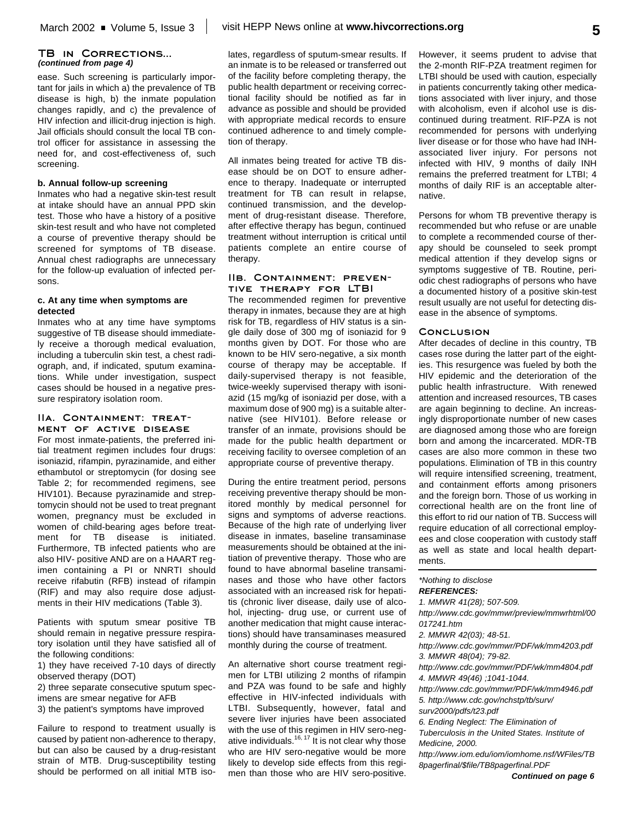### **TB in Corrections...** *(continued from page 4)*

ease. Such screening is particularly important for jails in which a) the prevalence of TB disease is high, b) the inmate population changes rapidly, and c) the prevalence of HIV infection and illicit-drug injection is high. Jail officials should consult the local TB control officer for assistance in assessing the need for, and cost-effectiveness of, such screening.

### **b. Annual follow-up screening**

Inmates who had a negative skin-test result at intake should have an annual PPD skin test. Those who have a history of a positive skin-test result and who have not completed a course of preventive therapy should be screened for symptoms of TB disease. Annual chest radiographs are unnecessary for the follow-up evaluation of infected persons.

### **c. At any time when symptoms are detected**

Inmates who at any time have symptoms suggestive of TB disease should immediately receive a thorough medical evaluation, including a tuberculin skin test, a chest radiograph, and, if indicated, sputum examinations. While under investigation, suspect cases should be housed in a negative pressure respiratory isolation room.

### **IIa. Containment: treatment of active disease**

For most inmate-patients, the preferred initial treatment regimen includes four drugs: isoniazid, rifampin, pyrazinamide, and either ethambutol or streptomycin (for dosing see Table 2; for recommended regimens, see HIV101). Because pyrazinamide and streptomycin should not be used to treat pregnant women, pregnancy must be excluded in women of child-bearing ages before treatment for TB disease is initiated. Furthermore, TB infected patients who are also HIV- positive AND are on a HAART regimen containing a PI or NNRTI should receive rifabutin (RFB) instead of rifampin (RIF) and may also require dose adjustments in their HIV medications (Table 3).

Patients with sputum smear positive TB should remain in negative pressure respiratory isolation until they have satisfied all of the following conditions:

1) they have received 7-10 days of directly observed therapy (DOT)

2) three separate consecutive sputum specimens are smear negative for AFB

3) the patient's symptoms have improved

Failure to respond to treatment usually is caused by patient non-adherence to therapy, but can also be caused by a drug-resistant strain of MTB. Drug-susceptibility testing should be performed on all initial MTB iso-

lates, regardless of sputum-smear results. If an inmate is to be released or transferred out of the facility before completing therapy, the public health department or receiving correctional facility should be notified as far in advance as possible and should be provided with appropriate medical records to ensure continued adherence to and timely completion of therapy.

All inmates being treated for active TB disease should be on DOT to ensure adherence to therapy. Inadequate or interrupted treatment for TB can result in relapse, continued transmission, and the development of drug-resistant disease. Therefore, after effective therapy has begun, continued treatment without interruption is critical until patients complete an entire course of therapy.

### **IIb. Containment: preventive therapy for LTBI**

The recommended regimen for preventive therapy in inmates, because they are at high risk for TB, regardless of HIV status is a single daily dose of 300 mg of isoniazid for 9 months given by DOT. For those who are known to be HIV sero-negative, a six month course of therapy may be acceptable. If daily-supervised therapy is not feasible, twice-weekly supervised therapy with isoniazid (15 mg/kg of isoniazid per dose, with a maximum dose of 900 mg) is a suitable alternative (see HIV101). Before release or transfer of an inmate, provisions should be made for the public health department or receiving facility to oversee completion of an appropriate course of preventive therapy.

During the entire treatment period, persons receiving preventive therapy should be monitored monthly by medical personnel for signs and symptoms of adverse reactions. Because of the high rate of underlying liver disease in inmates, baseline transaminase measurements should be obtained at the initiation of preventive therapy. Those who are found to have abnormal baseline transaminases and those who have other factors associated with an increased risk for hepatitis (chronic liver disease, daily use of alcohol, injecting- drug use, or current use of another medication that might cause interactions) should have transaminases measured monthly during the course of treatment.

An alternative short course treatment regimen for LTBI utilizing 2 months of rifampin and PZA was found to be safe and highly effective in HIV-infected individuals with LTBI. Subsequently, however, fatal and severe liver injuries have been associated with the use of this regimen in HIV sero-negative individuals.<sup>16, 17</sup> It is not clear why those who are HIV sero-negative would be more likely to develop side effects from this regimen than those who are HIV sero-positive. However, it seems prudent to advise that the 2-month RIF-PZA treatment regimen for LTBI should be used with caution, especially in patients concurrently taking other medications associated with liver injury, and those with alcoholism, even if alcohol use is discontinued during treatment. RIF-PZA is not recommended for persons with underlying liver disease or for those who have had INHassociated liver injury. For persons not infected with HIV, 9 months of daily INH remains the preferred treatment for LTBI; 4 months of daily RIF is an acceptable alternative.

Persons for whom TB preventive therapy is recommended but who refuse or are unable to complete a recommended course of therapy should be counseled to seek prompt medical attention if they develop signs or symptoms suggestive of TB. Routine, periodic chest radiographs of persons who have a documented history of a positive skin-test result usually are not useful for detecting disease in the absence of symptoms.

### **Conclusion**

After decades of decline in this country, TB cases rose during the latter part of the eighties. This resurgence was fueled by both the HIV epidemic and the deterioration of the public health infrastructure. With renewed attention and increased resources, TB cases are again beginning to decline. An increasingly disproportionate number of new cases are diagnosed among those who are foreign born and among the incarcerated. MDR-TB cases are also more common in these two populations. Elimination of TB in this country will require intensified screening, treatment, and containment efforts among prisoners and the foreign born. Those of us working in correctional health are on the front line of this effort to rid our nation of TB. Success will require education of all correctional employees and close cooperation with custody staff as well as state and local health departments.

*\*Nothing to disclose*

*REFERENCES: 1. MMWR 41(28); 507-509.*

*http://www.cdc.gov/mmwr/preview/mmwrhtml/00 017241.htm*

*2. MMWR 42(03); 48-51.*

*http://www.cdc.gov/mmwr/PDF/wk/mm4203.pdf 3. MMWR 48(04); 79-82.*

*http://www.cdc.gov/mmwr/PDF/wk/mm4804.pdf 4. MMWR 49(46) ;1041-1044.*

*http://www.cdc.gov/mmwr/PDF/wk/mm4946.pdf 5. http://www.cdc.gov/nchstp/tb/surv/*

*surv2000/pdfs/t23.pdf*

*6. Ending Neglect: The Elimination of Tuberculosis in the United States. Institute of*

*Medicine, 2000.*

*http://www.iom.edu/iom/iomhome.nsf/WFiles/TB 8pagerfinal/\$file/TB8pagerfinal.PDF*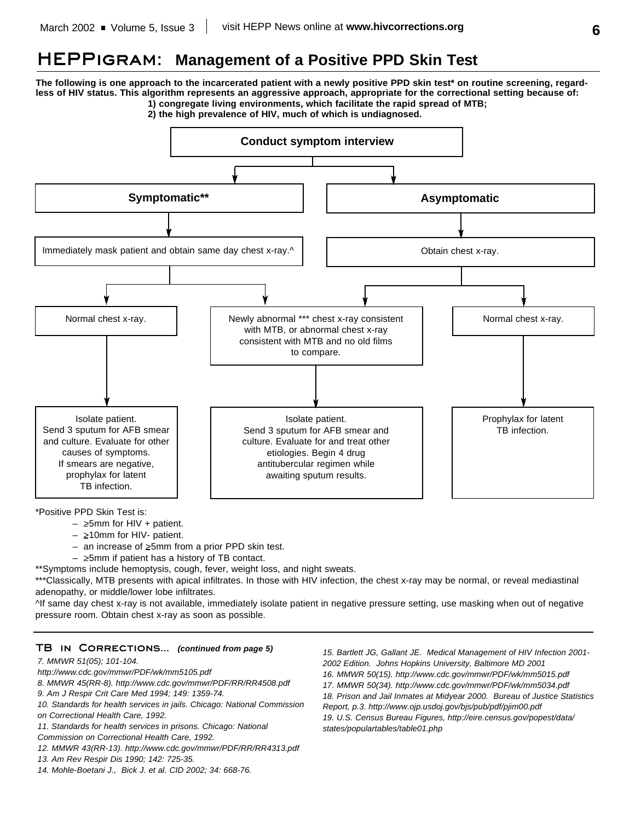# **HEPPigram: Management of a Positive PPD Skin Test**

**The following is one approach to the incarcerated patient with a newly positive PPD skin test\* on routine screening, regardless of HIV status. This algorithm represents an aggressive approach, appropriate for the correctional setting because of: 1) congregate living environments, which facilitate the rapid spread of MTB;**

**2) the high prevalence of HIV, much of which is undiagnosed.**



\*Positive PPD Skin Test is:

- $-$  >5mm for HIV + patient.
- >10mm for HIV- patient.
- $-$  an increase of  $\geq 5$ mm from a prior PPD skin test.
- $\geq$ 5mm if patient has a history of TB contact.

\*\*Symptoms include hemoptysis, cough, fever, weight loss, and night sweats.

\*\*\*Classically, MTB presents with apical infiltrates. In those with HIV infection, the chest x-ray may be normal, or reveal mediastinal adenopathy, or middle/lower lobe infiltrates.

^If same day chest x-ray is not available, immediately isolate patient in negative pressure setting, use masking when out of negative pressure room. Obtain chest x-ray as soon as possible.

## **TB in Corrections...** *(continued from page 5)*

### *7. MMWR 51(05); 101-104.*

- *http://www.cdc.gov/mmwr/PDF/wk/mm5105.pdf*
- *8. MMWR 45(RR-8). http://www.cdc.gov/mmwr/PDF/RR/RR4508.pdf*
- *9. Am J Respir Crit Care Med 1994; 149: 1359-74.*
- *10. Standards for health services in jails. Chicago: National Commission*
- *on Correctional Health Care, 1992.*
- *11. Standards for health services in prisons. Chicago: National*
- *Commission on Correctional Health Care, 1992.*
- *12. MMWR 43(RR-13). http://www.cdc.gov/mmwr/PDF/RR/RR4313.pdf*
- *13. Am Rev Respir Dis 1990; 142: 725-35.*
- *14. Mohle-Boetani J., Bick J. et al. CID 2002; 34: 668-76.*

*15. Bartlett JG, Gallant JE. Medical Management of HIV Infection 2001- 2002 Edition. Johns Hopkins University, Baltimore MD 2001 16. MMWR 50(15). http://www.cdc.gov/mmwr/PDF/wk/mm5015.pdf 17. MMWR 50(34). http://www.cdc.gov/mmwr/PDF/wk/mm5034.pdf 18. Prison and Jail Inmates at Midyear 2000. Bureau of Justice Statistics Report, p.3. http://www.ojp.usdoj.gov/bjs/pub/pdf/pjim00.pdf 19. U.S. Census Bureau Figures, http://eire.census.gov/popest/data/ states/populartables/table01.php*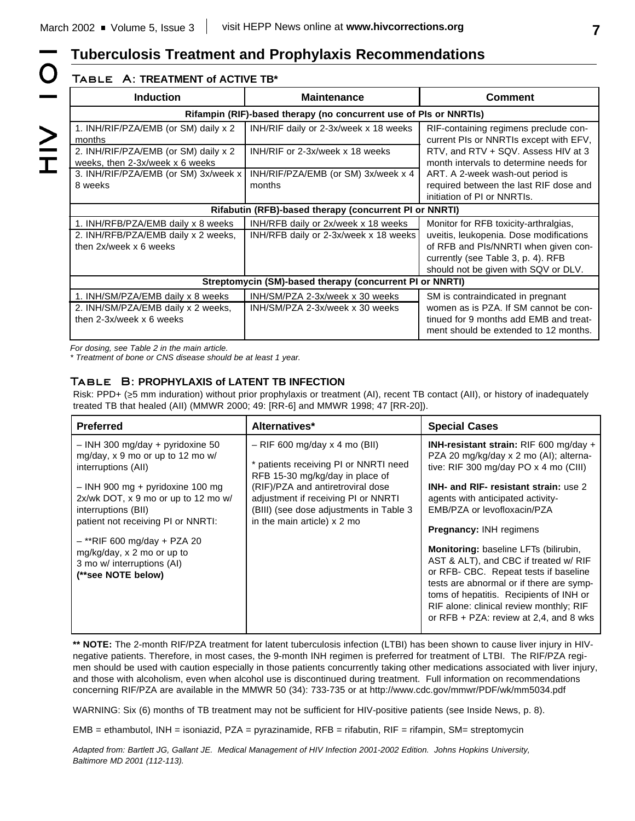# **Tuberculosis Treatment and Prophylaxis Recommendations**

# **Table A: TREATMENT of ACTIVE TB\***

 $\bigcirc$ 

|<br>NH<br>T

| <b>Induction</b>                                                                                         | <b>Maintenance</b>                                                           | <b>Comment</b>                                                                                                                                                                                         |  |
|----------------------------------------------------------------------------------------------------------|------------------------------------------------------------------------------|--------------------------------------------------------------------------------------------------------------------------------------------------------------------------------------------------------|--|
| Rifampin (RIF)-based therapy (no concurrent use of PIs or NNRTIs)                                        |                                                                              |                                                                                                                                                                                                        |  |
| 1. INH/RIF/PZA/EMB (or SM) daily x 2<br>months                                                           | INH/RIF daily or 2-3x/week x 18 weeks                                        | RIF-containing regimens preclude con-<br>current PIs or NNRTIs except with EFV,                                                                                                                        |  |
| 2. INH/RIF/PZA/EMB (or SM) daily x 2<br>weeks, then 2-3x/week x 6 weeks                                  | INH/RIF or 2-3x/week x 18 weeks                                              | RTV, and RTV + SQV. Assess HIV at 3<br>month intervals to determine needs for                                                                                                                          |  |
| 3. INH/RIF/PZA/EMB (or SM) 3x/week x<br>8 weeks                                                          | INH/RIF/PZA/EMB (or SM) 3x/week x 4<br>months                                | ART. A 2-week wash-out period is<br>required between the last RIF dose and<br>initiation of PI or NNRTIs.                                                                                              |  |
|                                                                                                          | Rifabutin (RFB)-based therapy (concurrent PI or NNRTI)                       |                                                                                                                                                                                                        |  |
| 1. INH/RFB/PZA/EMB daily x 8 weeks<br>2. INH/RFB/PZA/EMB daily x 2 weeks,<br>then 2x/week x 6 weeks      | INH/RFB daily or 2x/week x 18 weeks<br>INH/RFB daily or 2-3x/week x 18 weeks | Monitor for RFB toxicity-arthralgias,<br>uveitis, leukopenia. Dose modifications<br>of RFB and PIs/NNRTI when given con-<br>currently (see Table 3, p. 4). RFB<br>should not be given with SQV or DLV. |  |
| Streptomycin (SM)-based therapy (concurrent PI or NNRTI)                                                 |                                                                              |                                                                                                                                                                                                        |  |
| 1. INH/SM/PZA/EMB daily x 8 weeks<br>2. INH/SM/PZA/EMB daily x 2 weeks,<br>then $2-3x/$ week $x$ 6 weeks | INH/SM/PZA 2-3x/week x 30 weeks<br>INH/SM/PZA 2-3x/week x 30 weeks           | SM is contraindicated in pregnant<br>women as is PZA. If SM cannot be con-<br>tinued for 9 months add EMB and treat-<br>ment should be extended to 12 months.                                          |  |

*For dosing, see Table 2 in the main article.*

*\* Treatment of bone or CNS disease should be at least 1 year.*

# **Table B: PROPHYLAXIS of LATENT TB INFECTION**

Risk: PPD+ ( $\geq$ 5 mm induration) without prior prophylaxis or treatment (AI), recent TB contact (AII), or history of inadequately treated TB that healed (AII) (MMWR 2000; 49: [RR-6] and MMWR 1998; 47 [RR-20]).

| <b>Preferred</b>                                                                                                                                                                                                                                                                                                                                         | Alternatives*                                                                                                                                                                                                                                                       | <b>Special Cases</b>                                                                                                                                                                                                                                                                                                                                                                                                                                                                                                                                                                   |
|----------------------------------------------------------------------------------------------------------------------------------------------------------------------------------------------------------------------------------------------------------------------------------------------------------------------------------------------------------|---------------------------------------------------------------------------------------------------------------------------------------------------------------------------------------------------------------------------------------------------------------------|----------------------------------------------------------------------------------------------------------------------------------------------------------------------------------------------------------------------------------------------------------------------------------------------------------------------------------------------------------------------------------------------------------------------------------------------------------------------------------------------------------------------------------------------------------------------------------------|
| - INH 300 mg/day + pyridoxine 50<br>mg/day, x 9 mo or up to 12 mo w/<br>interruptions (All)<br>$-$ INH 900 mg + pyridoxine 100 mg<br>2x/wk DOT, x 9 mo or up to 12 mo w/<br>interruptions (BII)<br>patient not receiving PI or NNRTI:<br>$-$ **RIF 600 mg/day + PZA 20<br>mg/kg/day, x 2 mo or up to<br>3 mo w/ interruptions (AI)<br>(**see NOTE below) | $-$ RIF 600 mg/day x 4 mo (BII)<br>* patients receiving PI or NNRTI need<br>RFB 15-30 mg/kg/day in place of<br>(RIF)/PZA and antiretroviral dose<br>adjustment if receiving PI or NNRTI<br>(BIII) (see dose adjustments in Table 3<br>in the main article) $x$ 2 mo | INH-resistant strain: RIF 600 mg/day +<br>PZA 20 mg/kg/day x 2 mo (AI); alterna-<br>tive: RIF 300 mg/day PO x 4 mo (CIII)<br><b>INH- and RIF- resistant strain: use 2</b><br>agents with anticipated activity-<br>EMB/PZA or levofloxacin/PZA<br><b>Pregnancy: INH regimens</b><br>Monitoring: baseline LFTs (bilirubin,<br>AST & ALT), and CBC if treated w/ RIF<br>or RFB- CBC. Repeat tests if baseline<br>tests are abnormal or if there are symp-<br>toms of hepatitis. Recipients of INH or<br>RIF alone: clinical review monthly; RIF<br>or RFB + PZA: review at 2,4, and 8 wks |

**\*\* NOTE:** The 2-month RIF/PZA treatment for latent tuberculosis infection (LTBI) has been shown to cause liver injury in HIVnegative patients. Therefore, in most cases, the 9-month INH regimen is preferred for treatment of LTBI. The RIF/PZA regimen should be used with caution especially in those patients concurrently taking other medications associated with liver injury, and those with alcoholism, even when alcohol use is discontinued during treatment. Full information on recommendations concerning RIF/PZA are available in the MMWR 50 (34): 733-735 or at http://www.cdc.gov/mmwr/PDF/wk/mm5034.pdf

WARNING: Six (6) months of TB treatment may not be sufficient for HIV-positive patients (see Inside News, p. 8).

EMB = ethambutol, INH = isoniazid, PZA = pyrazinamide, RFB = rifabutin, RIF = rifampin, SM= streptomycin

*Adapted from: Bartlett JG, Gallant JE. Medical Management of HIV Infection 2001-2002 Edition. Johns Hopkins University, Baltimore MD 2001 (112-113).*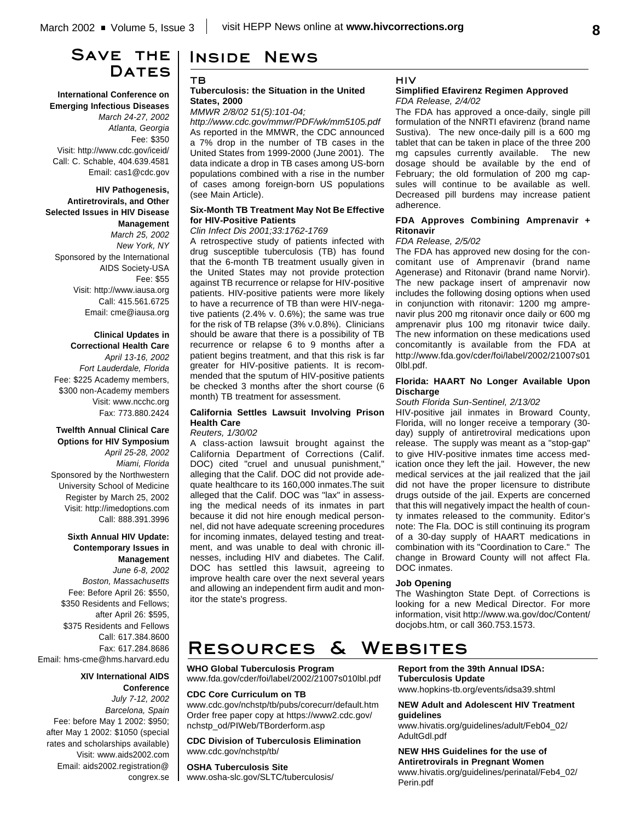# **Save the Dates**

**International Conference on Emerging Infectious Diseases** *March 24-27, 2002 Atlanta, Georgia* Fee: \$350 Visit: http://www.cdc.gov/iceid/ Call: C. Schable, 404.639.4581 Email: cas1@cdc.gov

**HIV Pathogenesis, Antiretrovirals, and Other Selected Issues in HIV Disease Management** *March 25, 2002 New York, NY* Sponsored by the International AIDS Society-USA Fee: \$55 Visit: http://www.iausa.org

Call: 415.561.6725 Email: cme@iausa.org

## **Clinical Updates in Correctional Health Care**

*April 13-16, 2002 Fort Lauderdale, Florida* Fee: \$225 Academy members, \$300 non-Academy members Visit: www.ncchc.org Fax: 773.880.2424

### **Twelfth Annual Clinical Care Options for HIV Symposium** *April 25-28, 2002 Miami, Florida* Sponsored by the Northwestern University School of Medicine Register by March 25, 2002 Visit: http://imedoptions.com Call: 888.391.3996

## **Sixth Annual HIV Update: Contemporary Issues in Management** *June 6-8, 2002*

*Boston, Massachusetts* Fee: Before April 26: \$550, \$350 Residents and Fellows; after April 26: \$595, \$375 Residents and Fellows Call: 617.384.8600 Fax: 617.284.8686 Email: hms-cme@hms.harvard.edu

> **XIV International AIDS Conference**

*July 7-12, 2002 Barcelona, Spain* Fee: before May 1 2002: \$950; after May 1 2002: \$1050 (special rates and scholarships available) Visit: www.aids2002.com Email: aids2002.registration@ congrex.se

# **Inside News**

## **TB**

### **Tuberculosis: the Situation in the United States, 2000**

*MMWR 2/8/02 51(5):101-04;*

*http://www.cdc.gov/mmwr/PDF/wk/mm5105.pdf* As reported in the MMWR, the CDC announced a 7% drop in the number of TB cases in the United States from 1999-2000 (June 2001). The data indicate a drop in TB cases among US-born populations combined with a rise in the number of cases among foreign-born US populations (see Main Article).

### **Six-Month TB Treatment May Not Be Effective for HIV-Positive Patients**

## *Clin Infect Dis 2001;33:1762-1769*

A retrospective study of patients infected with drug susceptible tuberculosis (TB) has found that the 6-month TB treatment usually given in the United States may not provide protection against TB recurrence or relapse for HIV-positive patients. HIV-positive patients were more likely to have a recurrence of TB than were HIV-negative patients (2.4% v. 0.6%); the same was true for the risk of TB relapse (3% v.0.8%). Clinicians should be aware that there is a possibility of TB recurrence or relapse 6 to 9 months after a patient begins treatment, and that this risk is far greater for HIV-positive patients. It is recommended that the sputum of HIV-positive patients be checked 3 months after the short course (6 month) TB treatment for assessment.

### **California Settles Lawsuit Involving Prison Health Care**

### *Reuters, 1/30/02*

A class-action lawsuit brought against the California Department of Corrections (Calif. DOC) cited "cruel and unusual punishment," alleging that the Calif. DOC did not provide adequate healthcare to its 160,000 inmates.The suit alleged that the Calif. DOC was "lax" in assessing the medical needs of its inmates in part because it did not hire enough medical personnel, did not have adequate screening procedures for incoming inmates, delayed testing and treatment, and was unable to deal with chronic illnesses, including HIV and diabetes. The Calif. DOC has settled this lawsuit, agreeing to improve health care over the next several years and allowing an independent firm audit and monitor the state's progress.

## **HIV**

### **Simplified Efavirenz Regimen Approved** *FDA Release, 2/4/02*

The FDA has approved a once-daily, single pill formulation of the NNRTI efavirenz (brand name Sustiva). The new once-daily pill is a 600 mg tablet that can be taken in place of the three 200 mg capsules currently available. The new dosage should be available by the end of February; the old formulation of 200 mg capsules will continue to be available as well. Decreased pill burdens may increase patient adherence.

### **FDA Approves Combining Amprenavir + Ritonavir**

### *FDA Release, 2/5/02*

The FDA has approved new dosing for the concomitant use of Amprenavir (brand name Agenerase) and Ritonavir (brand name Norvir). The new package insert of amprenavir now includes the following dosing options when used in conjunction with ritonavir: 1200 mg amprenavir plus 200 mg ritonavir once daily or 600 mg amprenavir plus 100 mg ritonavir twice daily. The new information on these medications used concomitantly is available from the FDA at http://www.fda.gov/cder/foi/label/2002/21007s01 0lbl.pdf.

### **Florida: HAART No Longer Available Upon Discharge**

### *South Florida Sun-Sentinel, 2/13/02*

HIV-positive jail inmates in Broward County, Florida, will no longer receive a temporary (30 day) supply of antiretroviral medications upon release. The supply was meant as a "stop-gap" to give HIV-positive inmates time access medication once they left the jail. However, the new medical services at the jail realized that the jail did not have the proper licensure to distribute drugs outside of the jail. Experts are concerned that this will negatively impact the health of county inmates released to the community. Editor's note: The Fla. DOC is still continuing its program of a 30-day supply of HAART medications in combination with its "Coordination to Care." The change in Broward County will not affect Fla. DOC inmates.

### **Job Opening**

The Washington State Dept. of Corrections is looking for a new Medical Director. For more information, visit http://www.wa.gov/doc/Content/ docjobs.htm, or call 360.753.1573.

# **Resources & Websites**

## **WHO Global Tuberculosis Program**

www.fda.gov/cder/foi/label/2002/21007s010lbl.pdf

### **CDC Core Curriculum on TB**

www.cdc.gov/nchstp/tb/pubs/corecurr/default.htm Order free paper copy at https://www2.cdc.gov/ nchstp\_od/PIWeb/TBorderform.asp

**CDC Division of Tuberculosis Elimination** www.cdc.gov/nchstp/tb/

#### **OSHA Tuberculosis Site**

www.osha-slc.gov/SLTC/tuberculosis/

**Report from the 39th Annual IDSA: Tuberculosis Update** www.hopkins-tb.org/events/idsa39.shtml

### **NEW Adult and Adolescent HIV Treatment guidelines**

www.hivatis.org/guidelines/adult/Feb04\_02/ AdultGdl.pdf

**NEW HHS Guidelines for the use of Antiretrovirals in Pregnant Women** www.hivatis.org/guidelines/perinatal/Feb4\_02/ Perin.pdf